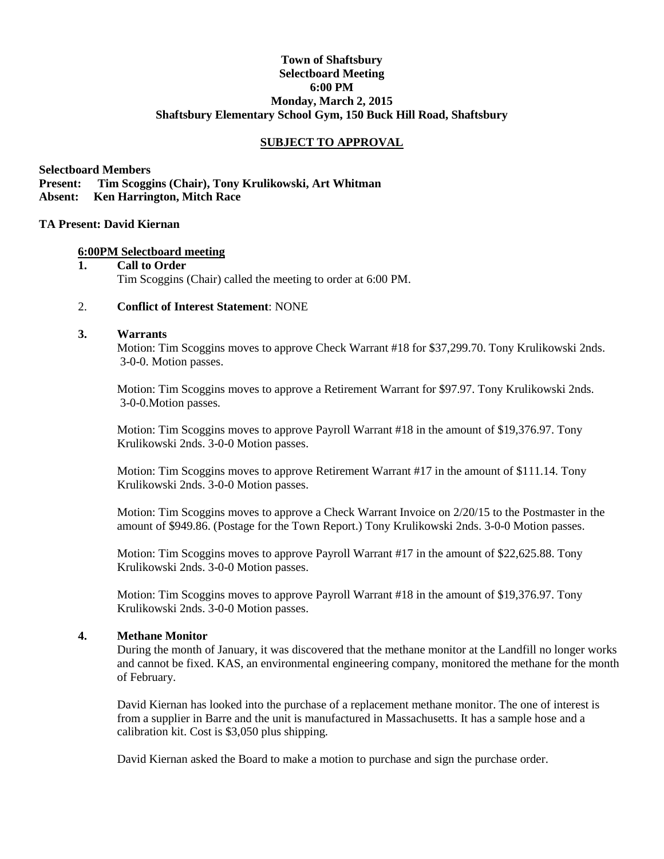## **Town of Shaftsbury Selectboard Meeting 6:00 PM Monday, March 2, 2015 Shaftsbury Elementary School Gym, 150 Buck Hill Road, Shaftsbury**

## **SUBJECT TO APPROVAL**

**Selectboard Members Present: Tim Scoggins (Chair), Tony Krulikowski, Art Whitman Absent: Ken Harrington, Mitch Race**

## **TA Present: David Kiernan**

#### **6:00PM Selectboard meeting**

#### **1. Call to Order** Tim Scoggins (Chair) called the meeting to order at 6:00 PM.

## 2. **Conflict of Interest Statement**: NONE

## **3. Warrants**

Motion: Tim Scoggins moves to approve Check Warrant #18 for \$37,299.70. Tony Krulikowski 2nds. 3-0-0. Motion passes.

Motion: Tim Scoggins moves to approve a Retirement Warrant for \$97.97. Tony Krulikowski 2nds. 3-0-0.Motion passes.

Motion: Tim Scoggins moves to approve Payroll Warrant #18 in the amount of \$19,376.97. Tony Krulikowski 2nds. 3-0-0 Motion passes.

Motion: Tim Scoggins moves to approve Retirement Warrant #17 in the amount of \$111.14. Tony Krulikowski 2nds. 3-0-0 Motion passes.

Motion: Tim Scoggins moves to approve a Check Warrant Invoice on 2/20/15 to the Postmaster in the amount of \$949.86. (Postage for the Town Report.) Tony Krulikowski 2nds. 3-0-0 Motion passes.

Motion: Tim Scoggins moves to approve Payroll Warrant #17 in the amount of \$22,625.88. Tony Krulikowski 2nds. 3-0-0 Motion passes.

Motion: Tim Scoggins moves to approve Payroll Warrant #18 in the amount of \$19,376.97. Tony Krulikowski 2nds. 3-0-0 Motion passes.

#### **4. Methane Monitor**

During the month of January, it was discovered that the methane monitor at the Landfill no longer works and cannot be fixed. KAS, an environmental engineering company, monitored the methane for the month of February.

David Kiernan has looked into the purchase of a replacement methane monitor. The one of interest is from a supplier in Barre and the unit is manufactured in Massachusetts. It has a sample hose and a calibration kit. Cost is \$3,050 plus shipping.

David Kiernan asked the Board to make a motion to purchase and sign the purchase order.